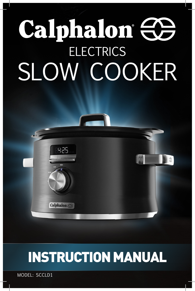# Calphalon <del>CO</del> **ELECTRICS** SLOW COOKER

## INSTRUCTION MANUAL

 $|O|$ 

MODEL: SCCLD1

8:29

Calphalon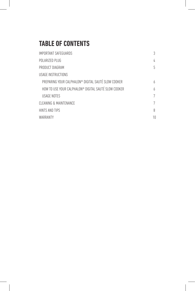## **TABLE OF CONTENTS**

| IMPORTANT SAFEGUARDS                                 | 3  |
|------------------------------------------------------|----|
| POLARIZED PLUG                                       | 4  |
| PRODUCT DIAGRAM                                      | 5  |
| USAGE INSTRUCTIONS                                   |    |
| PREPARING YOUR CALPHALON® DIGITAL SAUTÉ SLOW COOKER  | h  |
| HOW TO USE YOUR CALPHALON® DIGITAL SAUTÉ SLOW COOKER | h  |
| <b>USAGE NOTES</b>                                   | 7  |
| CLEANING & MAINTENANCE                               | 7  |
| HINTS AND TIPS                                       | 8  |
| WARRANTY                                             | 10 |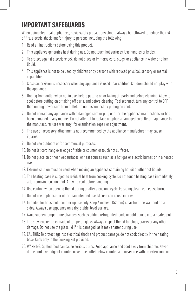## **IMPORTANT SAFEGUARDS**

When using electrical appliances, basic safety precautions should always be followed to reduce the risk of fire, electric shock, and/or injury to persons including the following:

- 1. Read all instructions before using this product.
- 2. This appliance generates heat during use. Do not touch hot surfaces. Use handles or knobs.
- 3. To protect against electric shock, do not place or immerse cord, plugs, or appliance in water or other liquid.
- 4. This appliance is not to be used by children or by persons with reduced physical, sensory or mental capabilities.
- 5. Close supervision is necessary when any appliance is used near children. Children should not play with the appliance.
- 6. Unplug from outlet when not in use, before putting on or taking off parts and before cleaning. Allow to cool before putting on or taking off parts, and before cleaning. To disconnect, turn any control to OFF, then unplug power cord from outlet. Do not disconnect by pulling on cord.
- 7. Do not operate any appliance with a damaged cord or plug or after the appliance malfunctions, or has been damaged in any manner. Do not attempt to replace or splice a damaged cord. Return appliance to the manufacturer (see warranty) for examination, repair or adjustment.
- 8. The use of accessory attachments not recommended by the appliance manufacturer may cause injuries.
- 9. Do not use outdoors or for commercial purposes.
- 10. Do not let cord hang over edge of table or counter, or touch hot surfaces.
- 11. Do not place on or near wet surfaces, or heat sources such as a hot gas or electric burner, or in a heated oven.
- 12. Extreme caution must be used when moving an appliance containing hot oil or other hot liquids.
- 13. The heating base is subject to residual heat from cooking cycle. Do not touch heating base immediately after removing Cooking Pot. Allow to cool before handling.
- 14. Use caution when opening the lid during or after a cooking cycle. Escaping steam can cause burns.
- 15. Do not use appliance for other than intended use. Misuse can cause injuries.
- 16. Intended for household countertop use only. Keep 6 inches (152 mm) clear from the wall and on all sides. Always use appliance on a dry, stable, level surface.
- 17. Avoid sudden temperature changes, such as adding refrigerated foods or cold liquids into a heated pot.
- 18. The slow cooker lid is made of tempered glass. Always inspect the lid for chips, cracks or any other damage. Do not use the glass lid if it is damaged, as it may shatter during use.
- 19. CAUTION: To protect against electrical shock and product damage, do not cook directly in the heating base. Cook only in the Cooking Pot provided.
- 20. WARNING: Spilled food can cause serious burns. Keep appliance and cord away from children. Never drape cord over edge of counter, never use outlet below counter, and never use with an extension cord.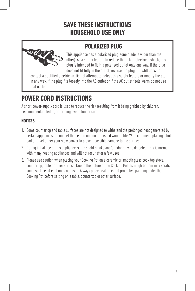## **SAVE THESE INSTRUCTIONS HOUSEHOLD USE ONLY**

### **POLARIZED PLUG**



This appliance has a polarized plug, (one blade is wider than the other). As a safety feature to reduce the risk of electrical shock, this plug is intended to fit in a polarized outlet only one way. If the plug does not fit fully in the outlet, reverse the plug. If it still does not fit,

contact a qualified electrician. Do not attempt to defeat this safety feature or modify the plug in any way. If the plug fits loosely into the AC outlet or if the AC outlet feels warm do not use that outlet.

## **POWER CORD INSTRUCTIONS**

A short power-supply cord is used to reduce the risk resulting from it being grabbed by children, becoming entangled in, or tripping over a longer cord.

#### **NOTICES**

- 1. Some countertop and table surfaces are not designed to withstand the prolonged heat generated by certain appliances. Do not set the heated unit on a finished wood table. We recommend placing a hot pad or trivet under your slow cooker to prevent possible damage to the surface.
- 2. During initial use of this appliance, some slight smoke and/or odor may be detected. This is normal with many heating appliances and will not recur after a few uses.
- 3. Please use caution when placing your Cooking Pot on a ceramic or smooth glass cook top stove, countertop, table or other surface. Due to the nature of the Cooking Pot, its rough bottom may scratch some surfaces if caution is not used. Always place heat resistant protective padding under the Cooking Pot before setting on a table, countertop or other surface.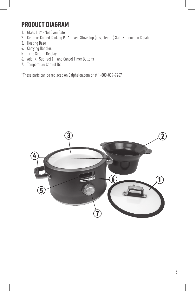## **PRODUCT DIAGRAM**

- 1. Glass Lid\* Not Oven Safe
- 2. Ceramic-Coated Cooking Pot\* -Oven, Stove Top (gas, electric) Safe & Induction Capable
- 3. Heating Base
- 4. Carrying Handles
- 5. Time Setting Display
- 6. Add (+), Subtract (-), and Cancel Timer Buttons
- 7. Temperature Control Dial

\*These parts can be replaced on Calphalon.com or at 1-800-809-7267

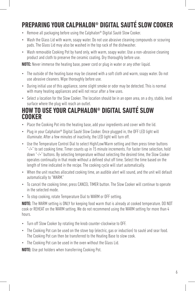## **PREPARING YOUR CALPHALON® DIGITAL SAUTÉ SLOW COOKER**

- Remove all packaging before using the Calphalon® Digital Sauté Slow Cooker.
- Wash the Glass Lid with warm, soapy water. Do not use abrasive cleaning compounds or scouring pads. The Glass Lid may also be washed in the top rack of the dishwasher.
- Wash removable Cooking Pot by hand only, with warm, soapy water. Use a non-abrasive cleaning product and cloth to preserve the ceramic coating. Dry thoroughly before use.

**NOTE:** Never immerse the heating base, power cord or plug in water or any other liquid.

- The outside of the heating base may be cleaned with a soft cloth and warm, soapy water. Do not use abrasive cleaners. Wipe thoroughly before use.
- During initial use of this appliance, some slight smoke or odor may be detected. This is normal with many heating appliances and will not recur after a few uses.
- Select a location for the Slow Cooker. The location should be in an open area, on a dry, stable, level surface where the plug will reach an outlet.

#### **HOW TO USE YOUR CALPHALON® DIGITAL SAUTÉ SLOW COOKER**

- Place the Cooking Pot into the heating base, add your ingredients and cover with the lid.
- Plug in your Calphalon® Digital Sauté Slow Cooker. Once plugged in, the OFF LED light will illuminate. After a few minutes of inactivity, the LED light will turn off.
- Use the Temperature Control Dial to select High/Low/Warm setting and then press timer buttons "-/+" to set cooking time. Timer counts up in 15 minute increments. For faster time selection, hold down "-/+" buttons. By selecting temperature without selecting the desired time, the Slow Cooker operates continually in that mode without a defined shut off time. Select the time based on the length of time indicated in the recipe. The cooking cycle will start automatically.
- When the unit reaches allocated cooking time, an audible alert will sound, and the unit will default automatically to "WARM."
- To cancel the cooking timer, press CANCEL TIMER button. The Slow Cooker will continue to operate in the selected mode.
- To stop cooking, rotate Temperature Dial to WARM or OFF setting.

**NOTE:** The WARM setting is ONLY for keeping food warm that is already at cooked temperature. DO NOT cook or REHEAT on the WARM setting. We do not recommend using the WARM setting for more than 4 hours.

- Turn off Slow Cooker by rotating the knob counter-clockwise to OFF.
- The Cooking Pot can be used on the stove top (electric, gas or induction) to sauté and sear food. The Cooking Pot can then be transferred to the Heating Base to slow cook.
- The Cooking Pot can be used in the oven without the Glass Lid.

**NOTE:** Use pot holders when transferring Cooking Pot.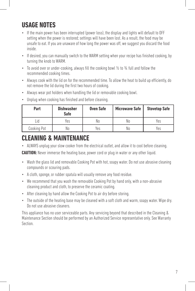## **USAGE NOTES**

- If the main power has been interrupted (power loss), the display and lights will default to OFF setting when the power is restored; settings will have been lost. As a result, the food may be unsafe to eat. If you are unaware of how long the power was off, we suggest you discard the food inside.
- If desired, you can manually switch to the WARM setting when your recipe has finished cooking, by turning the knob to WARM.
- To avoid over or under-cooking, always fill the cooking bowl 1/2 to 3/4 full and follow the recommended cooking times.
- Always cook with the lid on for the recommended time. To allow the heat to build up efficiently, do not remove the lid during the first two hours of cooking.
- Always wear pot holders when handling the lid or removable cooking bowl.
- Unplug when cooking has finished and before cleaning.

| Part        | <b>Dishwasher</b><br><b>Safe</b> | <b>Oven Safe</b> | Microwave Safe | <b>Stovetop Safe</b> |
|-------------|----------------------------------|------------------|----------------|----------------------|
| LId         | Yes                              | Nο               | No             | Yes                  |
| Cooking Pot | No                               | Yes              | No             | Yes                  |

## **CLEANING & MAINTENANCE**

• ALWAYS unplug your slow cooker from the electrical outlet, and allow it to cool before cleaning.

**CAUTION:** Never immerse the heating base, power cord or plug in water or any other liquid.

- Wash the glass lid and removable Cooking Pot with hot, soapy water. Do not use abrasive cleaning compounds or scouring pads.
- A cloth, sponge, or rubber spatula will usually remove any food residue.
- We recommend that you wash the removable Cooking Pot by hand only, with a non-abrasive cleaning product and cloth, to preserve the ceramic coating.
- After cleaning by hand allow the Cooking Pot to air dry before storing.
- The outside of the heating base may be cleaned with a soft cloth and warm, soapy water. Wipe dry. Do not use abrasive cleaners.

This appliance has no user serviceable parts. Any servicing beyond that described in the Cleaning & Maintenance Section should be performed by an Authorized Service representative only. See Warranty Section.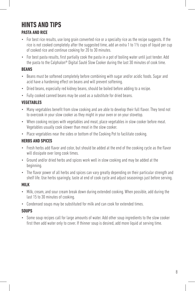## **HINTS AND TIPS**

#### **PASTA AND RICE**

- For best rice results, use long grain converted rice or a specialty rice as the recipe suggests. If the rice is not cooked completely after the suggested time, add an extra 1 to 1½ cups of liquid per cup of cooked rice and continue cooking for 20 to 30 minutes.
- For best pasta results, first partially cook the pasta in a pot of boiling water until just tender. Add the pasta to the Calphalon® Digital Sauté Slow Cooker during the last 30 minutes of cook time.

#### **BEANS**

- Beans must be softened completely before combining with sugar and/or acidic foods. Sugar and acid have a hardening effect on beans and will prevent softening.
- Dried beans, especially red kidney beans, should be boiled before adding to a recipe.
- Fully cooked canned beans may be used as a substitute for dried beans.

#### **VEGETABLES**

- Many vegetables benefit from slow cooking and are able to develop their full flavor. They tend not to overcook in your slow cooker as they might in your oven or on your stovetop.
- When cooking recipes with vegetables and meat, place vegetables in slow cooker before meat. Vegetables usually cook slower than meat in the slow cooker.
- Place vegetables near the sides or bottom of the Cooking Pot to facilitate cooking.

#### **HERBS AND SPICES**

- Fresh herbs add flavor and color, but should be added at the end of the cooking cycle as the flavor will dissipate over long cook times.
- Ground and/or dried herbs and spices work well in slow cooking and may be added at the beginning.
- The flavor power of all herbs and spices can vary greatly depending on their particular strength and shelf life. Use herbs sparingly, taste at end of cook cycle and adjust seasonings just before serving.

#### **MILK**

- Milk, cream, and sour cream break down during extended cooking. When possible, add during the last 15 to 30 minutes of cooking.
- Condensed soups may be substituted for milk and can cook for extended times.

#### **SOUPS**

• Some soup recipes call for large amounts of water. Add other soup ingredients to the slow cooker first then add water only to cover. If thinner soup is desired, add more liquid at serving time.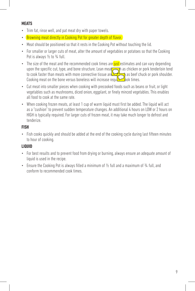#### **MEATS**

- Trim fat, rinse well, and pat meat dry with paper towels.
- Browning meat directly in Cooking Pot for greater depth of flavor.
- Meat should be positioned so that it rests in the Cooking Pot without touching the lid.
- For smaller or larger cuts of meat, alter the amount of vegetables or potatoes so that the Cooking Pot is always  $\frac{1}{2}$  to  $\frac{3}{4}$  full.
- The size of the meat and the recommended cook times are just estimates and can vary depending upon the specific cut, type, and bone structure. Lean meat not also such as chicken or pork tenderloin tend to cook faster than meats with more connective tissue and fat such as beef chuck or pork shoulder. Cooking meat on the bone versus boneless will increase required bok times.
- Cut meat into smaller pieces when cooking with precooked foods such as beans or fruit, or light vegetables such as mushrooms, diced onion, eggplant, or finely minced vegetables. This enables all food to cook at the same rate.
- When cooking frozen meats, at least 1 cup of warm liquid must first be added. The liquid will act as a "cushion" to prevent sudden temperature changes. An additional 4 hours on LOW or 2 hours on HIGH is typically required. For larger cuts of frozen meat, it may take much longer to defrost and tenderize.

#### **FISH**

• Fish cooks quickly and should be added at the end of the cooking cycle during last fifteen minutes to hour of cooking.

#### **LIQUID**

- For best results and to prevent food from drying or burning, always ensure an adequate amount of liquid is used in the recipe.
- Ensure the Cooking Pot is always filled a minimum of 1/2 full and a maximum of 3/4 full, and conform to recommended cook times.